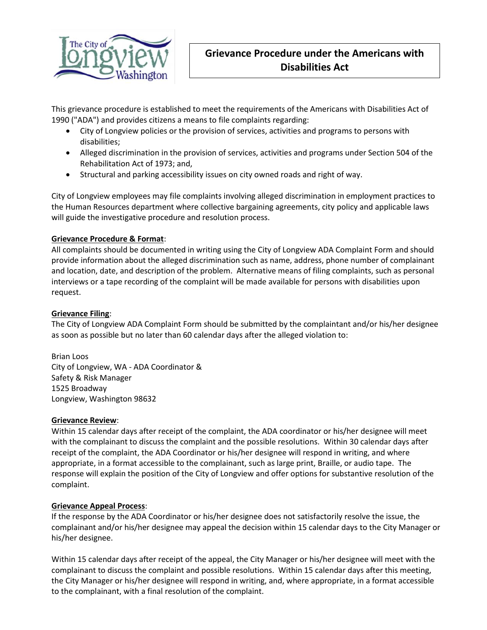

This grievance procedure is established to meet the requirements of the Americans with Disabilities Act of 1990 ("ADA") and provides citizens a means to file complaints regarding:

- City of Longview policies or the provision of services, activities and programs to persons with disabilities;
- Alleged discrimination in the provision of services, activities and programs under Section 504 of the Rehabilitation Act of 1973; and,
- Structural and parking accessibility issues on city owned roads and right of way.

City of Longview employees may file complaints involving alleged discrimination in employment practices to the Human Resources department where collective bargaining agreements, city policy and applicable laws will guide the investigative procedure and resolution process.

# **Grievance Procedure & Format**:

All complaints should be documented in writing using the City of Longview ADA Complaint Form and should provide information about the alleged discrimination such as name, address, phone number of complainant and location, date, and description of the problem. Alternative means of filing complaints, such as personal interviews or a tape recording of the complaint will be made available for persons with disabilities upon request.

## **Grievance Filing**:

The City of Longview ADA Complaint Form should be submitted by the complaintant and/or his/her designee as soon as possible but no later than 60 calendar days after the alleged violation to:

Brian Loos City of Longview, WA - ADA Coordinator & Safety & Risk Manager 1525 Broadway Longview, Washington 98632

#### **Grievance Review**:

Within 15 calendar days after receipt of the complaint, the ADA coordinator or his/her designee will meet with the complainant to discuss the complaint and the possible resolutions. Within 30 calendar days after receipt of the complaint, the ADA Coordinator or his/her designee will respond in writing, and where appropriate, in a format accessible to the complainant, such as large print, Braille, or audio tape. The response will explain the position of the City of Longview and offer options for substantive resolution of the complaint.

#### **Grievance Appeal Process**:

If the response by the ADA Coordinator or his/her designee does not satisfactorily resolve the issue, the complainant and/or his/her designee may appeal the decision within 15 calendar days to the City Manager or his/her designee.

Within 15 calendar days after receipt of the appeal, the City Manager or his/her designee will meet with the complainant to discuss the complaint and possible resolutions. Within 15 calendar days after this meeting, the City Manager or his/her designee will respond in writing, and, where appropriate, in a format accessible to the complainant, with a final resolution of the complaint.